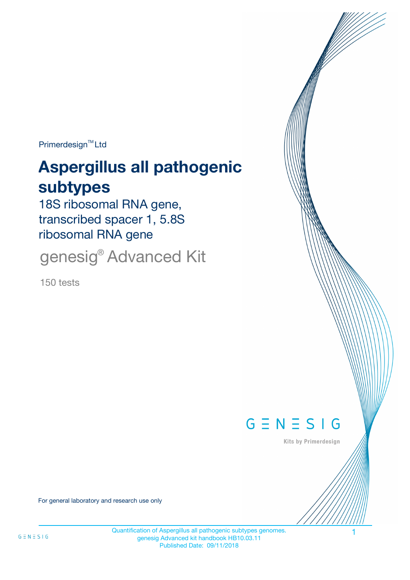Primerdesign<sup>™</sup>Ltd

# **Aspergillus all pathogenic subtypes**

18S ribosomal RNA gene, transcribed spacer 1, 5.8S ribosomal RNA gene

genesig® Advanced Kit

150 tests



Kits by Primerdesign

For general laboratory and research use only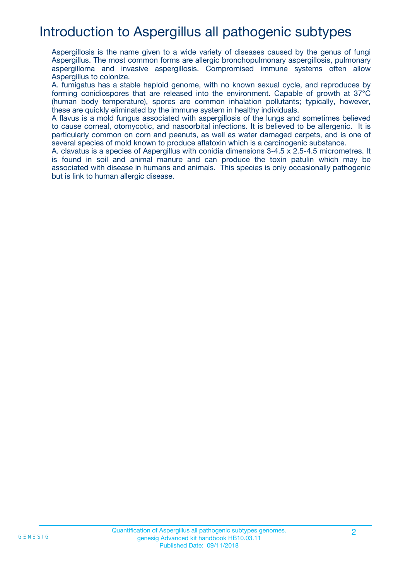## Introduction to Aspergillus all pathogenic subtypes

Aspergillosis is the name given to a wide variety of diseases caused by the genus of fungi Aspergillus. The most common forms are allergic bronchopulmonary aspergillosis, pulmonary aspergilloma and invasive aspergillosis. Compromised immune systems often allow Aspergillus to colonize.

A. fumigatus has a stable haploid genome, with no known sexual cycle, and reproduces by forming conidiospores that are released into the environment. Capable of growth at 37°C (human body temperature), spores are common inhalation pollutants; typically, however, these are quickly eliminated by the immune system in healthy individuals.

A flavus is a mold fungus associated with aspergillosis of the lungs and sometimes believed to cause corneal, otomycotic, and nasoorbital infections. It is believed to be allergenic. It is particularly common on corn and peanuts, as well as water damaged carpets, and is one of several species of mold known to produce aflatoxin which is a carcinogenic substance.

A. clavatus is a species of Aspergillus with conidia dimensions 3-4.5 x 2.5-4.5 micrometres. It is found in soil and animal manure and can produce the toxin patulin which may be associated with disease in humans and animals. This species is only occasionally pathogenic but is link to human allergic disease.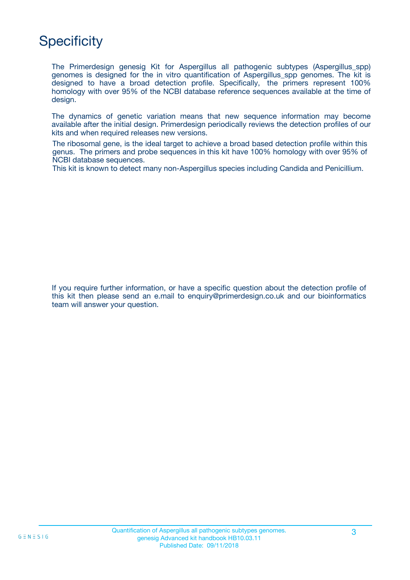## **Specificity**

The Primerdesign genesig Kit for Aspergillus all pathogenic subtypes (Aspergillus\_spp) genomes is designed for the in vitro quantification of Aspergillus\_spp genomes. The kit is designed to have a broad detection profile. Specifically, the primers represent 100% homology with over 95% of the NCBI database reference sequences available at the time of design.

The dynamics of genetic variation means that new sequence information may become available after the initial design. Primerdesign periodically reviews the detection profiles of our kits and when required releases new versions.

The ribosomal gene, is the ideal target to achieve a broad based detection profile within this genus. The primers and probe sequences in this kit have 100% homology with over 95% of NCBI database sequences.

This kit is known to detect many non-Aspergillus species including Candida and Penicillium.

If you require further information, or have a specific question about the detection profile of this kit then please send an e.mail to enquiry@primerdesign.co.uk and our bioinformatics team will answer your question.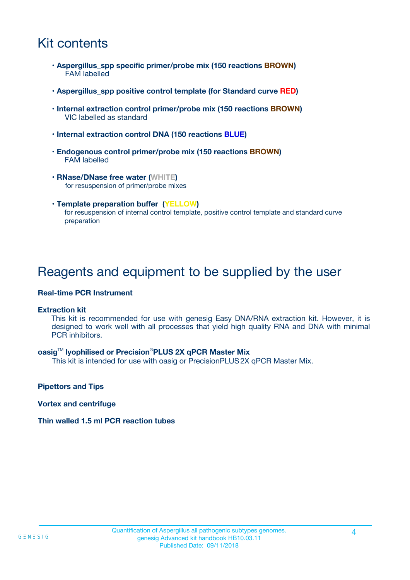## Kit contents

- **Aspergillus\_spp specific primer/probe mix (150 reactions BROWN)** FAM labelled
- **Aspergillus\_spp positive control template (for Standard curve RED)**
- **Internal extraction control primer/probe mix (150 reactions BROWN)** VIC labelled as standard
- **Internal extraction control DNA (150 reactions BLUE)**
- **Endogenous control primer/probe mix (150 reactions BROWN)** FAM labelled
- **RNase/DNase free water (WHITE)** for resuspension of primer/probe mixes
- **Template preparation buffer (YELLOW)** for resuspension of internal control template, positive control template and standard curve preparation

## Reagents and equipment to be supplied by the user

#### **Real-time PCR Instrument**

#### **Extraction kit**

This kit is recommended for use with genesig Easy DNA/RNA extraction kit. However, it is designed to work well with all processes that yield high quality RNA and DNA with minimal PCR inhibitors.

#### **oasig**TM **lyophilised or Precision**®**PLUS 2X qPCR Master Mix**

This kit is intended for use with oasig or PrecisionPLUS2X qPCR Master Mix.

**Pipettors and Tips**

**Vortex and centrifuge**

#### **Thin walled 1.5 ml PCR reaction tubes**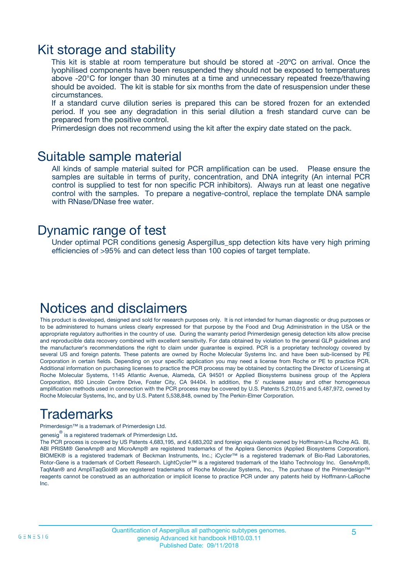### Kit storage and stability

This kit is stable at room temperature but should be stored at -20ºC on arrival. Once the lyophilised components have been resuspended they should not be exposed to temperatures above -20°C for longer than 30 minutes at a time and unnecessary repeated freeze/thawing should be avoided. The kit is stable for six months from the date of resuspension under these circumstances.

If a standard curve dilution series is prepared this can be stored frozen for an extended period. If you see any degradation in this serial dilution a fresh standard curve can be prepared from the positive control.

Primerdesign does not recommend using the kit after the expiry date stated on the pack.

### Suitable sample material

All kinds of sample material suited for PCR amplification can be used. Please ensure the samples are suitable in terms of purity, concentration, and DNA integrity (An internal PCR control is supplied to test for non specific PCR inhibitors). Always run at least one negative control with the samples. To prepare a negative-control, replace the template DNA sample with RNase/DNase free water.

### Dynamic range of test

Under optimal PCR conditions genesig Aspergillus\_spp detection kits have very high priming efficiencies of >95% and can detect less than 100 copies of target template.

### Notices and disclaimers

This product is developed, designed and sold for research purposes only. It is not intended for human diagnostic or drug purposes or to be administered to humans unless clearly expressed for that purpose by the Food and Drug Administration in the USA or the appropriate regulatory authorities in the country of use. During the warranty period Primerdesign genesig detection kits allow precise and reproducible data recovery combined with excellent sensitivity. For data obtained by violation to the general GLP guidelines and the manufacturer's recommendations the right to claim under guarantee is expired. PCR is a proprietary technology covered by several US and foreign patents. These patents are owned by Roche Molecular Systems Inc. and have been sub-licensed by PE Corporation in certain fields. Depending on your specific application you may need a license from Roche or PE to practice PCR. Additional information on purchasing licenses to practice the PCR process may be obtained by contacting the Director of Licensing at Roche Molecular Systems, 1145 Atlantic Avenue, Alameda, CA 94501 or Applied Biosystems business group of the Applera Corporation, 850 Lincoln Centre Drive, Foster City, CA 94404. In addition, the 5' nuclease assay and other homogeneous amplification methods used in connection with the PCR process may be covered by U.S. Patents 5,210,015 and 5,487,972, owned by Roche Molecular Systems, Inc, and by U.S. Patent 5,538,848, owned by The Perkin-Elmer Corporation.

## Trademarks

Primerdesign™ is a trademark of Primerdesign Ltd.

genesig $^\circledR$  is a registered trademark of Primerdesign Ltd.

The PCR process is covered by US Patents 4,683,195, and 4,683,202 and foreign equivalents owned by Hoffmann-La Roche AG. BI, ABI PRISM® GeneAmp® and MicroAmp® are registered trademarks of the Applera Genomics (Applied Biosystems Corporation). BIOMEK® is a registered trademark of Beckman Instruments, Inc.; iCycler™ is a registered trademark of Bio-Rad Laboratories, Rotor-Gene is a trademark of Corbett Research. LightCycler™ is a registered trademark of the Idaho Technology Inc. GeneAmp®, TaqMan® and AmpliTaqGold® are registered trademarks of Roche Molecular Systems, Inc., The purchase of the Primerdesign™ reagents cannot be construed as an authorization or implicit license to practice PCR under any patents held by Hoffmann-LaRoche Inc.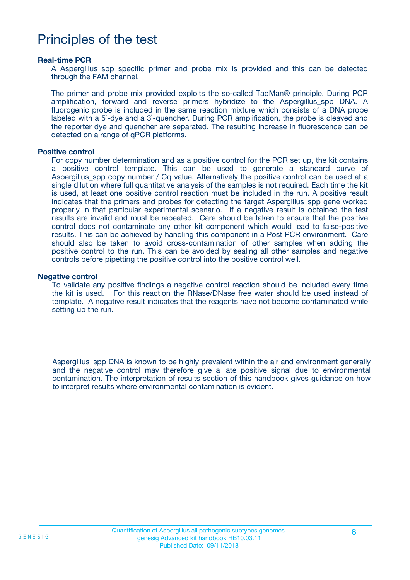## Principles of the test

#### **Real-time PCR**

A Aspergillus spp specific primer and probe mix is provided and this can be detected through the FAM channel.

The primer and probe mix provided exploits the so-called TaqMan® principle. During PCR amplification, forward and reverse primers hybridize to the Aspergillus\_spp DNA. A fluorogenic probe is included in the same reaction mixture which consists of a DNA probe labeled with a 5`-dye and a 3`-quencher. During PCR amplification, the probe is cleaved and the reporter dye and quencher are separated. The resulting increase in fluorescence can be detected on a range of qPCR platforms.

#### **Positive control**

For copy number determination and as a positive control for the PCR set up, the kit contains a positive control template. This can be used to generate a standard curve of Aspergillus spp copy number / Cq value. Alternatively the positive control can be used at a single dilution where full quantitative analysis of the samples is not required. Each time the kit is used, at least one positive control reaction must be included in the run. A positive result indicates that the primers and probes for detecting the target Aspergillus spp gene worked properly in that particular experimental scenario. If a negative result is obtained the test results are invalid and must be repeated. Care should be taken to ensure that the positive control does not contaminate any other kit component which would lead to false-positive results. This can be achieved by handling this component in a Post PCR environment. Care should also be taken to avoid cross-contamination of other samples when adding the positive control to the run. This can be avoided by sealing all other samples and negative controls before pipetting the positive control into the positive control well.

#### **Negative control**

To validate any positive findings a negative control reaction should be included every time the kit is used. For this reaction the RNase/DNase free water should be used instead of template. A negative result indicates that the reagents have not become contaminated while setting up the run.

Aspergillus\_spp DNA is known to be highly prevalent within the air and environment generally and the negative control may therefore give a late positive signal due to environmental contamination. The interpretation of results section of this handbook gives guidance on how to interpret results where environmental contamination is evident.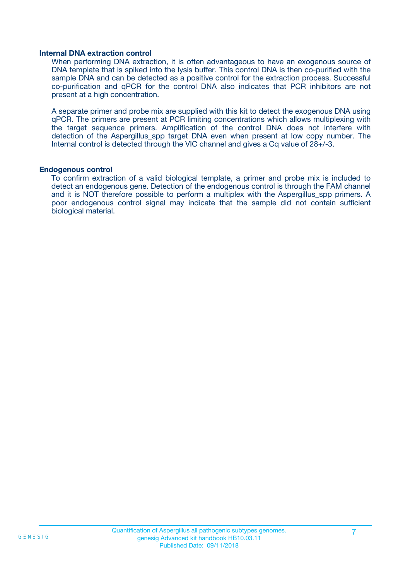#### **Internal DNA extraction control**

When performing DNA extraction, it is often advantageous to have an exogenous source of DNA template that is spiked into the lysis buffer. This control DNA is then co-purified with the sample DNA and can be detected as a positive control for the extraction process. Successful co-purification and qPCR for the control DNA also indicates that PCR inhibitors are not present at a high concentration.

A separate primer and probe mix are supplied with this kit to detect the exogenous DNA using qPCR. The primers are present at PCR limiting concentrations which allows multiplexing with the target sequence primers. Amplification of the control DNA does not interfere with detection of the Aspergillus spp target DNA even when present at low copy number. The Internal control is detected through the VIC channel and gives a Cq value of 28+/-3.

#### **Endogenous control**

To confirm extraction of a valid biological template, a primer and probe mix is included to detect an endogenous gene. Detection of the endogenous control is through the FAM channel and it is NOT therefore possible to perform a multiplex with the Aspergillus\_spp primers. A poor endogenous control signal may indicate that the sample did not contain sufficient biological material.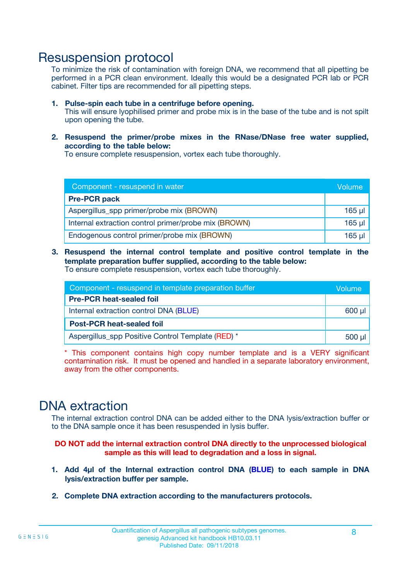### Resuspension protocol

To minimize the risk of contamination with foreign DNA, we recommend that all pipetting be performed in a PCR clean environment. Ideally this would be a designated PCR lab or PCR cabinet. Filter tips are recommended for all pipetting steps.

- **1. Pulse-spin each tube in a centrifuge before opening.** This will ensure lyophilised primer and probe mix is in the base of the tube and is not spilt upon opening the tube.
- **2. Resuspend the primer/probe mixes in the RNase/DNase free water supplied, according to the table below:**

To ensure complete resuspension, vortex each tube thoroughly.

| Component - resuspend in water                       |             |  |
|------------------------------------------------------|-------------|--|
| <b>Pre-PCR pack</b>                                  |             |  |
| Aspergillus_spp primer/probe mix (BROWN)             | $165$ µl    |  |
| Internal extraction control primer/probe mix (BROWN) | $165$ $\mu$ |  |
| Endogenous control primer/probe mix (BROWN)          | $165$ µl    |  |

**3. Resuspend the internal control template and positive control template in the template preparation buffer supplied, according to the table below:** To ensure complete resuspension, vortex each tube thoroughly.

| Component - resuspend in template preparation buffer |  |  |  |
|------------------------------------------------------|--|--|--|
| <b>Pre-PCR heat-sealed foil</b>                      |  |  |  |
| Internal extraction control DNA (BLUE)               |  |  |  |
| <b>Post-PCR heat-sealed foil</b>                     |  |  |  |
| Aspergillus_spp Positive Control Template (RED) *    |  |  |  |

\* This component contains high copy number template and is a VERY significant contamination risk. It must be opened and handled in a separate laboratory environment, away from the other components.

### DNA extraction

The internal extraction control DNA can be added either to the DNA lysis/extraction buffer or to the DNA sample once it has been resuspended in lysis buffer.

**DO NOT add the internal extraction control DNA directly to the unprocessed biological sample as this will lead to degradation and a loss in signal.**

- **1. Add 4µl of the Internal extraction control DNA (BLUE) to each sample in DNA lysis/extraction buffer per sample.**
- **2. Complete DNA extraction according to the manufacturers protocols.**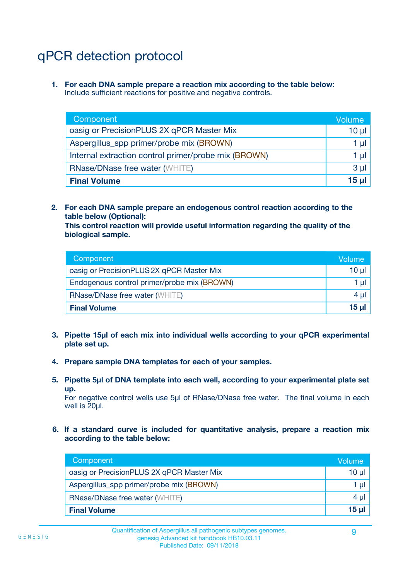## qPCR detection protocol

**1. For each DNA sample prepare a reaction mix according to the table below:** Include sufficient reactions for positive and negative controls.

| Component                                            | Volume   |
|------------------------------------------------------|----------|
| oasig or PrecisionPLUS 2X qPCR Master Mix            | $10 \mu$ |
| Aspergillus_spp primer/probe mix (BROWN)             | 1 µI     |
| Internal extraction control primer/probe mix (BROWN) | 1 µl     |
| <b>RNase/DNase free water (WHITE)</b>                | $3 \mu$  |
| <b>Final Volume</b>                                  | 15 ul    |

**2. For each DNA sample prepare an endogenous control reaction according to the table below (Optional):**

**This control reaction will provide useful information regarding the quality of the biological sample.**

| Component                                   | Volume   |
|---------------------------------------------|----------|
| oasig or PrecisionPLUS 2X qPCR Master Mix   | $10 \mu$ |
| Endogenous control primer/probe mix (BROWN) | 1 µI     |
| <b>RNase/DNase free water (WHITE)</b>       | $4 \mu$  |
| <b>Final Volume</b>                         | 15 µl    |

- **3. Pipette 15µl of each mix into individual wells according to your qPCR experimental plate set up.**
- **4. Prepare sample DNA templates for each of your samples.**
- **5. Pipette 5µl of DNA template into each well, according to your experimental plate set up.**

For negative control wells use 5µl of RNase/DNase free water. The final volume in each well is 20ul.

**6. If a standard curve is included for quantitative analysis, prepare a reaction mix according to the table below:**

| Component                                 | Volume          |
|-------------------------------------------|-----------------|
| oasig or PrecisionPLUS 2X qPCR Master Mix | 10 $\mu$        |
| Aspergillus_spp primer/probe mix (BROWN)  | 1 µI            |
| <b>RNase/DNase free water (WHITE)</b>     | $4 \mu$         |
| <b>Final Volume</b>                       | 15 <sub>µ</sub> |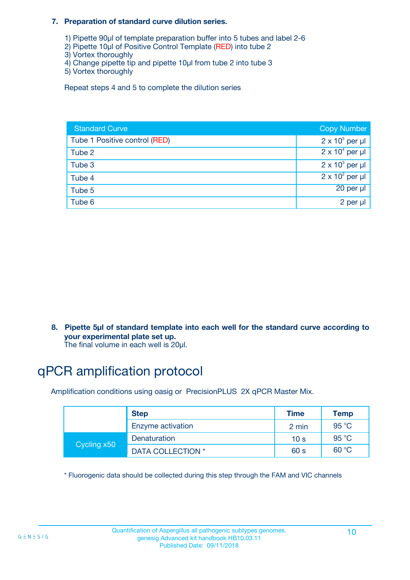#### **7. Preparation of standard curve dilution series.**

- 1) Pipette 90µl of template preparation buffer into 5 tubes and label 2-6
- 2) Pipette 10µl of Positive Control Template (RED) into tube 2
- 3) Vortex thoroughly
- 4) Change pipette tip and pipette 10µl from tube 2 into tube 3
- 5) Vortex thoroughly

Repeat steps 4 and 5 to complete the dilution series

| <b>Standard Curve</b>         | <b>Copy Number</b>     |
|-------------------------------|------------------------|
| Tube 1 Positive control (RED) | $2 \times 10^5$ per µl |
| Tube 2                        | $2 \times 10^4$ per µl |
| Tube 3                        | $2 \times 10^3$ per µl |
| Tube 4                        | $2 \times 10^2$ per µl |
| Tube 5                        | 20 per µl              |
| Tube 6                        | 2 per µl               |

**8. Pipette 5µl of standard template into each well for the standard curve according to your experimental plate set up.**

#### The final volume in each well is 20µl.

## qPCR amplification protocol

Amplification conditions using oasig or PrecisionPLUS 2X qPCR Master Mix.

|             | <b>Step</b>       | <b>Time</b>     | Temp    |
|-------------|-------------------|-----------------|---------|
|             | Enzyme activation | 2 min           | 95 °C   |
| Cycling x50 | Denaturation      | 10 <sub>s</sub> | 95 $°C$ |
|             | DATA COLLECTION * | 60 s            | 60 °C   |

\* Fluorogenic data should be collected during this step through the FAM and VIC channels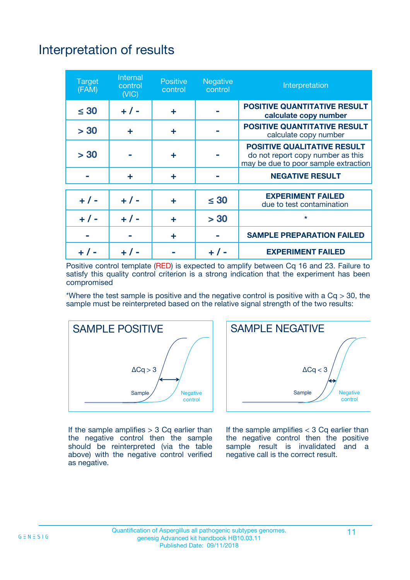## Interpretation of results

| <b>Target</b><br>(FAM) | Internal<br>control<br>(VIC) | <b>Positive</b><br>control | <b>Negative</b><br>control | Interpretation                                                                                                  |
|------------------------|------------------------------|----------------------------|----------------------------|-----------------------------------------------------------------------------------------------------------------|
| $\leq 30$              | $+ 1 -$                      | ÷                          |                            | <b>POSITIVE QUANTITATIVE RESULT</b><br>calculate copy number                                                    |
| > 30                   | ÷                            | ÷                          |                            | <b>POSITIVE QUANTITATIVE RESULT</b><br>calculate copy number                                                    |
| > 30                   |                              | ÷                          |                            | <b>POSITIVE QUALITATIVE RESULT</b><br>do not report copy number as this<br>may be due to poor sample extraction |
|                        | ÷                            | ÷                          |                            | <b>NEGATIVE RESULT</b>                                                                                          |
| $+ 1 -$                | $+ 1 -$                      | ٠                          | $\leq 30$                  | <b>EXPERIMENT FAILED</b><br>due to test contamination                                                           |
| $+$ / -                | $+ 1 -$                      | ÷                          | > 30                       | $\star$                                                                                                         |
|                        |                              | ٠                          |                            | <b>SAMPLE PREPARATION FAILED</b>                                                                                |
|                        |                              |                            |                            | <b>EXPERIMENT FAILED</b>                                                                                        |

Positive control template (RED) is expected to amplify between Cq 16 and 23. Failure to satisfy this quality control criterion is a strong indication that the experiment has been compromised

\*Where the test sample is positive and the negative control is positive with a  $Cq > 30$ , the sample must be reinterpreted based on the relative signal strength of the two results:



If the sample amplifies  $> 3$  Cq earlier than the negative control then the sample should be reinterpreted (via the table above) with the negative control verified as negative.



If the sample amplifies  $<$  3 Cq earlier than the negative control then the positive sample result is invalidated and a negative call is the correct result.